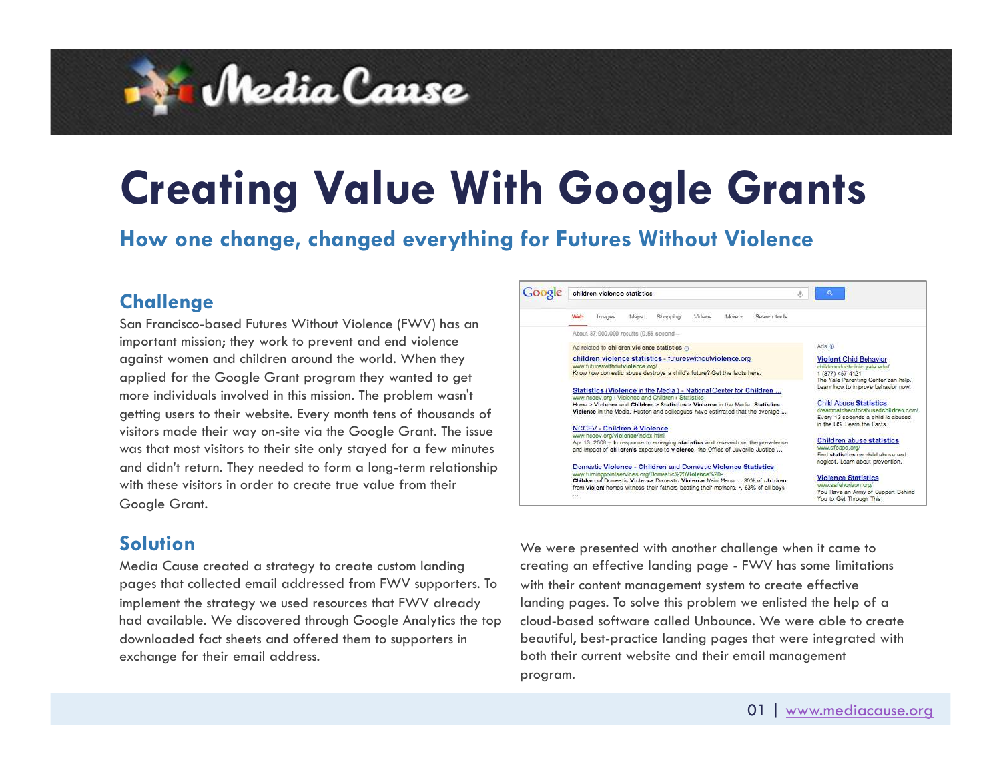

# **Creating Value With Google Grants**

**How one change, changed everything for Futures Without Violence** 

#### **Challenge**

San Francisco-based Futures Without Violence (FWV) has an important mission; they work to prevent and end violence against women and children around the world. When they applied for the Google Grant program they wanted to get more individuals involved in this mission. The problem wasn't getting users to their website. Every month tens of thousands of visitors made their way on-site via the Google Grant. The issue was that most visitors to their site only stayed for a few minutes and didn't return. They needed to form a long-term relationship with these visitors in order to create true value from their Google Grant.

#### Google children violence statistics  $\mathcal{L}$ Maps Shopping Videos More - Search tools Web Images About 37,900,000 results (0.56 second.) Ads (3) Ad related to children violence statistics @ children violence statistics - futureswithoutviolence.org **Violent Child Behavior** childconductclinic.vale.edu Know how domestic abuse destroys a child's future? Get the facts here. 1 (877) 457 4121 The Yale Parentino Center can help. Learn how to improve behavior now! Statistics (Violence in the Media ) - National Center for Children .. www.nccev.org > Violence and Children > Statistics **Child Abuse Statistics** Home > Violence and Children > Statistics > Violence in the Media. Statistics. dreamcatchersforabusedchildren.com/ Violence in the Media. Huston and colleagues have estimated that the average .. Every 13 seconds a child is abused. in the US. Learn the Facts. **NCCEV - Children & Violence** www.nccev.org/violence/index.htm **Children abuse statistics** Apr 13, 2006 - In response to emerging statistics and research on the prevalence and impact of children's exposure to violence, the Office of Juvenile Justice ... Find statistics on child abuse and neglect. Learn about prevention. Domestic Violence - Children and Domestic Violence Statistics www.turningpointservices.org/Domestic%20Violence%20-...<br>Children of Domestic Violence Domestic Violence Main Menu ... 90% of children **Violence Statistics** ww.safehorizon.org/ from violent homes witness their fathers beating their mothers. ., 63% of all boys You Have an Army of Support Behind You to Get Through This

### **Solution**

Media Cause created a strategy to create custom landing pages that collected email addressed from FWV supporters. To implement the strategy we used resources that FWV already had available. We discovered through Google Analytics the top downloaded fact sheets and offered them to supporters in exchange for their email address.

We were presented with another challenge when it came to creating an effective landing page - FWV has some limitations with their content management system to create effective landing pages. To solve this problem we enlisted the help of a cloud-based software called Unbounce. We were able to create beautiful, best-practice landing pages that were integrated with both their current website and their email management program.